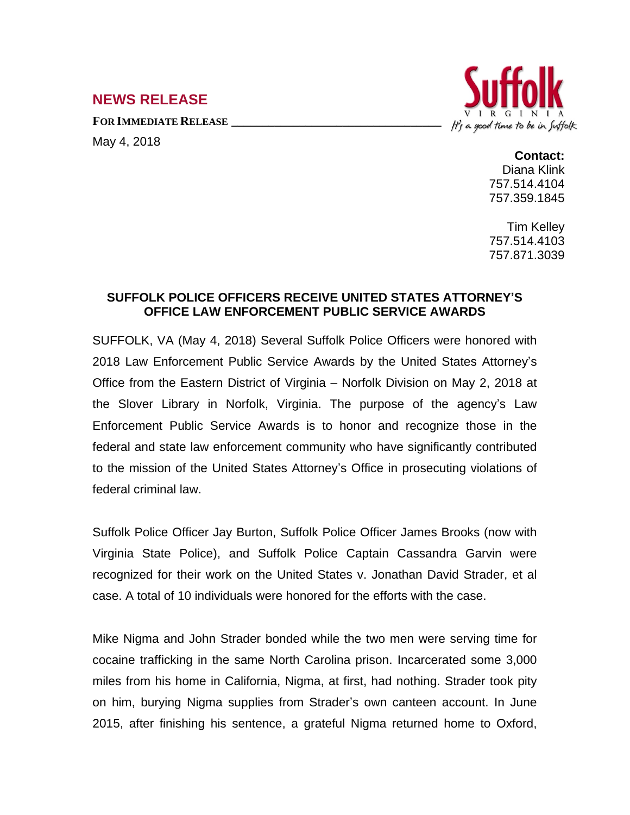## **NEWS RELEASE**

**FOR IMMEDIATE RELEASE \_\_\_\_\_\_\_\_\_\_\_\_\_\_\_\_\_\_\_\_\_\_\_\_\_\_\_\_\_\_\_\_\_\_**



May 4, 2018

**Contact:** Diana Klink 757.514.4104 757.359.1845

Tim Kelley 757.514.4103 757.871.3039

## **SUFFOLK POLICE OFFICERS RECEIVE UNITED STATES ATTORNEY'S OFFICE LAW ENFORCEMENT PUBLIC SERVICE AWARDS**

SUFFOLK, VA (May 4, 2018) Several Suffolk Police Officers were honored with 2018 Law Enforcement Public Service Awards by the United States Attorney's Office from the Eastern District of Virginia – Norfolk Division on May 2, 2018 at the Slover Library in Norfolk, Virginia. The purpose of the agency's Law Enforcement Public Service Awards is to honor and recognize those in the federal and state law enforcement community who have significantly contributed to the mission of the United States Attorney's Office in prosecuting violations of federal criminal law.

Suffolk Police Officer Jay Burton, Suffolk Police Officer James Brooks (now with Virginia State Police), and Suffolk Police Captain Cassandra Garvin were recognized for their work on the United States v. Jonathan David Strader, et al case. A total of 10 individuals were honored for the efforts with the case.

Mike Nigma and John Strader bonded while the two men were serving time for cocaine trafficking in the same North Carolina prison. Incarcerated some 3,000 miles from his home in California, Nigma, at first, had nothing. Strader took pity on him, burying Nigma supplies from Strader's own canteen account. In June 2015, after finishing his sentence, a grateful Nigma returned home to Oxford,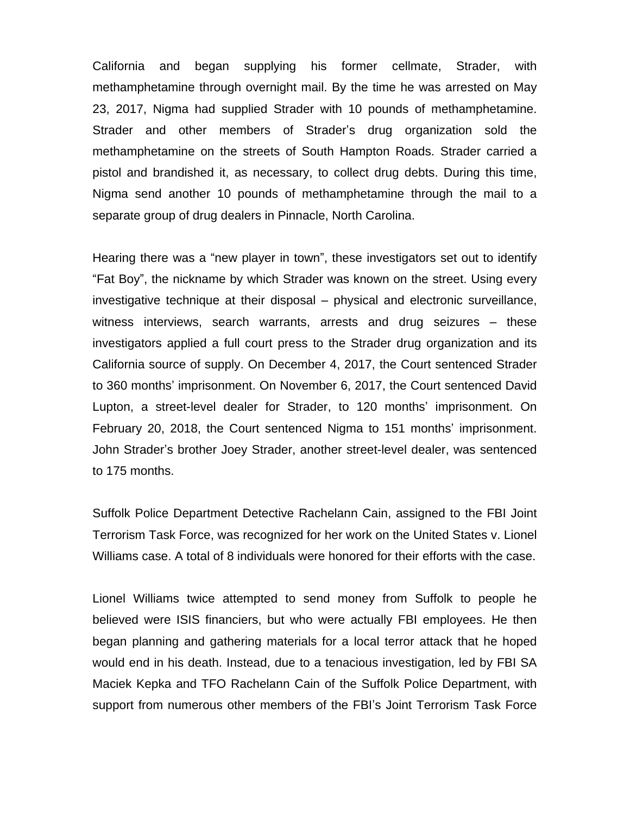California and began supplying his former cellmate, Strader, with methamphetamine through overnight mail. By the time he was arrested on May 23, 2017, Nigma had supplied Strader with 10 pounds of methamphetamine. Strader and other members of Strader's drug organization sold the methamphetamine on the streets of South Hampton Roads. Strader carried a pistol and brandished it, as necessary, to collect drug debts. During this time, Nigma send another 10 pounds of methamphetamine through the mail to a separate group of drug dealers in Pinnacle, North Carolina.

Hearing there was a "new player in town", these investigators set out to identify "Fat Boy", the nickname by which Strader was known on the street. Using every investigative technique at their disposal – physical and electronic surveillance, witness interviews, search warrants, arrests and drug seizures – these investigators applied a full court press to the Strader drug organization and its California source of supply. On December 4, 2017, the Court sentenced Strader to 360 months' imprisonment. On November 6, 2017, the Court sentenced David Lupton, a street-level dealer for Strader, to 120 months' imprisonment. On February 20, 2018, the Court sentenced Nigma to 151 months' imprisonment. John Strader's brother Joey Strader, another street-level dealer, was sentenced to 175 months.

Suffolk Police Department Detective Rachelann Cain, assigned to the FBI Joint Terrorism Task Force, was recognized for her work on the United States v. Lionel Williams case. A total of 8 individuals were honored for their efforts with the case.

Lionel Williams twice attempted to send money from Suffolk to people he believed were ISIS financiers, but who were actually FBI employees. He then began planning and gathering materials for a local terror attack that he hoped would end in his death. Instead, due to a tenacious investigation, led by FBI SA Maciek Kepka and TFO Rachelann Cain of the Suffolk Police Department, with support from numerous other members of the FBI's Joint Terrorism Task Force